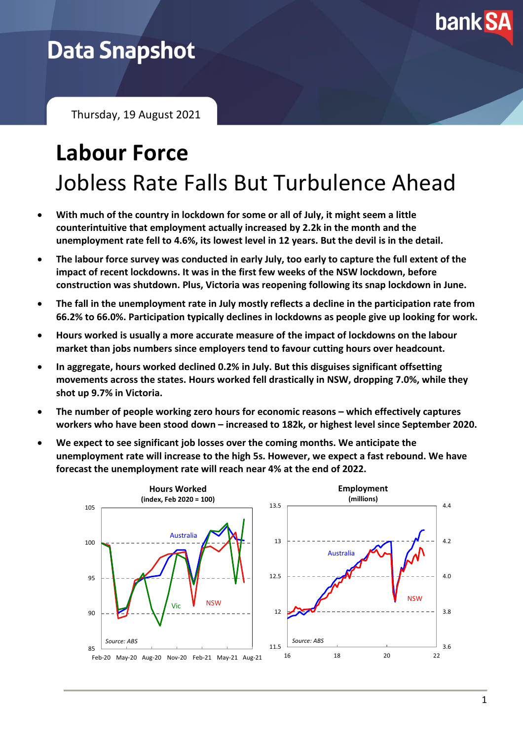

# **Data Snapshot**

Thursday, 19 August 2021

# **Labour Force** Jobless Rate Falls But Turbulence Ahead

- **With much of the country in lockdown for some or all of July, it might seem a little counterintuitive that employment actually increased by 2.2k in the month and the unemployment rate fell to 4.6%, its lowest level in 12 years. But the devil is in the detail.**
- **The labour force survey was conducted in early July, too early to capture the full extent of the impact of recent lockdowns. It was in the first few weeks of the NSW lockdown, before construction was shutdown. Plus, Victoria was reopening following its snap lockdown in June.**
- **The fall in the unemployment rate in July mostly reflects a decline in the participation rate from 66.2% to 66.0%. Participation typically declines in lockdowns as people give up looking for work.**
- **Hours worked is usually a more accurate measure of the impact of lockdowns on the labour market than jobs numbers since employers tend to favour cutting hours over headcount.**
- **In aggregate, hours worked declined 0.2% in July. But this disguises significant offsetting movements across the states. Hours worked fell drastically in NSW, dropping 7.0%, while they shot up 9.7% in Victoria.**
- **The number of people working zero hours for economic reasons – which effectively captures workers who have been stood down – increased to 182k, or highest level since September 2020.**
- **We expect to see significant job losses over the coming months. We anticipate the unemployment rate will increase to the high 5s. However, we expect a fast rebound. We have forecast the unemployment rate will reach near 4% at the end of 2022.**

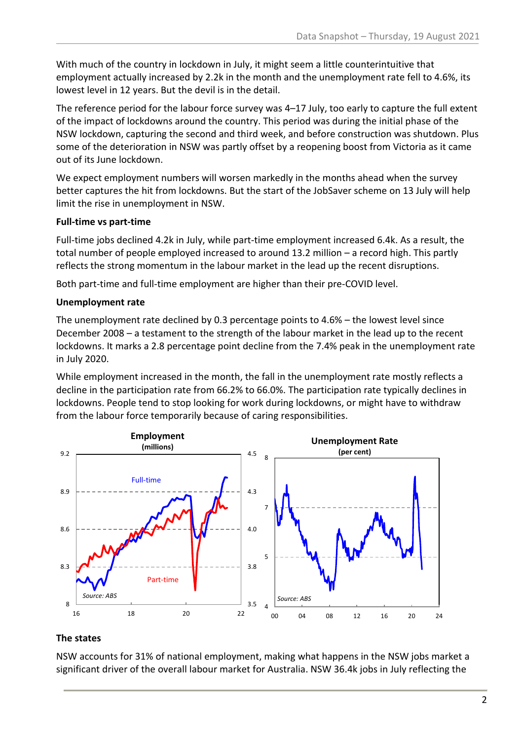With much of the country in lockdown in July, it might seem a little counterintuitive that employment actually increased by 2.2k in the month and the unemployment rate fell to 4.6%, its lowest level in 12 years. But the devil is in the detail.

The reference period for the labour force survey was 4–17 July, too early to capture the full extent of the impact of lockdowns around the country. This period was during the initial phase of the NSW lockdown, capturing the second and third week, and before construction was shutdown. Plus some of the deterioration in NSW was partly offset by a reopening boost from Victoria as it came out of its June lockdown.

We expect employment numbers will worsen markedly in the months ahead when the survey better captures the hit from lockdowns. But the start of the JobSaver scheme on 13 July will help limit the rise in unemployment in NSW.

#### **Full-time vs part-time**

Full-time jobs declined 4.2k in July, while part-time employment increased 6.4k. As a result, the total number of people employed increased to around 13.2 million – a record high. This partly reflects the strong momentum in the labour market in the lead up the recent disruptions.

Both part-time and full-time employment are higher than their pre-COVID level.

### **Unemployment rate**

The unemployment rate declined by 0.3 percentage points to 4.6% – the lowest level since December 2008 – a testament to the strength of the labour market in the lead up to the recent lockdowns. It marks a 2.8 percentage point decline from the 7.4% peak in the unemployment rate in July 2020.

While employment increased in the month, the fall in the unemployment rate mostly reflects a decline in the participation rate from 66.2% to 66.0%. The participation rate typically declines in lockdowns. People tend to stop looking for work during lockdowns, or might have to withdraw from the labour force temporarily because of caring responsibilities.



#### **The states**

NSW accounts for 31% of national employment, making what happens in the NSW jobs market a significant driver of the overall labour market for Australia. NSW 36.4k jobs in July reflecting the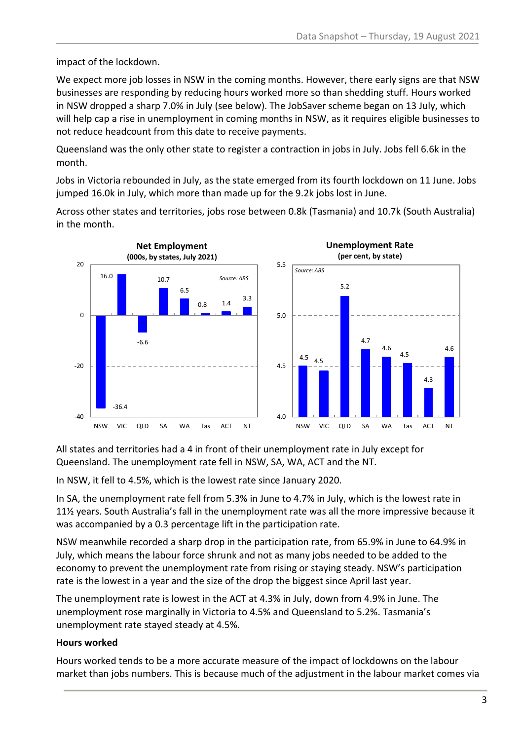impact of the lockdown.

We expect more job losses in NSW in the coming months. However, there early signs are that NSW businesses are responding by reducing hours worked more so than shedding stuff. Hours worked in NSW dropped a sharp 7.0% in July (see below). The JobSaver scheme began on 13 July, which will help cap a rise in unemployment in coming months in NSW, as it requires eligible businesses to not reduce headcount from this date to receive payments.

Queensland was the only other state to register a contraction in jobs in July. Jobs fell 6.6k in the month.

Jobs in Victoria rebounded in July, as the state emerged from its fourth lockdown on 11 June. Jobs jumped 16.0k in July, which more than made up for the 9.2k jobs lost in June.

Across other states and territories, jobs rose between 0.8k (Tasmania) and 10.7k (South Australia) in the month.



All states and territories had a 4 in front of their unemployment rate in July except for Queensland. The unemployment rate fell in NSW, SA, WA, ACT and the NT.

In NSW, it fell to 4.5%, which is the lowest rate since January 2020.

In SA, the unemployment rate fell from 5.3% in June to 4.7% in July, which is the lowest rate in 11½ years. South Australia's fall in the unemployment rate was all the more impressive because it was accompanied by a 0.3 percentage lift in the participation rate.

NSW meanwhile recorded a sharp drop in the participation rate, from 65.9% in June to 64.9% in July, which means the labour force shrunk and not as many jobs needed to be added to the economy to prevent the unemployment rate from rising or staying steady. NSW's participation rate is the lowest in a year and the size of the drop the biggest since April last year.

The unemployment rate is lowest in the ACT at 4.3% in July, down from 4.9% in June. The unemployment rose marginally in Victoria to 4.5% and Queensland to 5.2%. Tasmania's unemployment rate stayed steady at 4.5%.

### **Hours worked**

Hours worked tends to be a more accurate measure of the impact of lockdowns on the labour market than jobs numbers. This is because much of the adjustment in the labour market comes via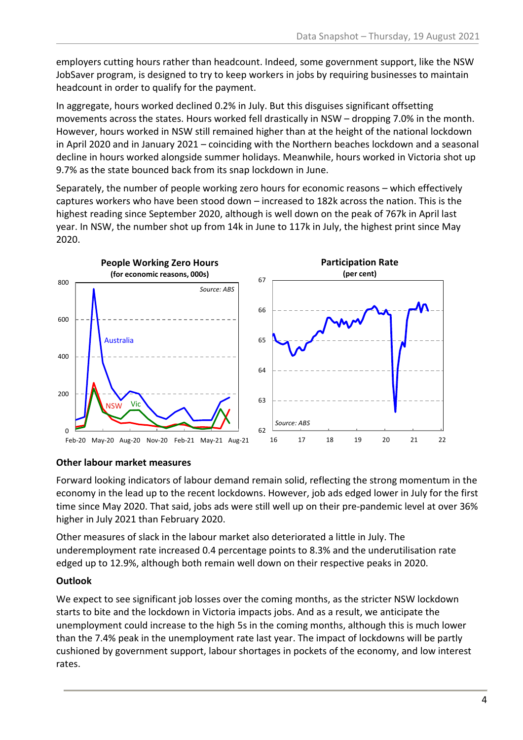employers cutting hours rather than headcount. Indeed, some government support, like the NSW JobSaver program, is designed to try to keep workers in jobs by requiring businesses to maintain headcount in order to qualify for the payment.

In aggregate, hours worked declined 0.2% in July. But this disguises significant offsetting movements across the states. Hours worked fell drastically in NSW – dropping 7.0% in the month. However, hours worked in NSW still remained higher than at the height of the national lockdown in April 2020 and in January 2021 – coinciding with the Northern beaches lockdown and a seasonal decline in hours worked alongside summer holidays. Meanwhile, hours worked in Victoria shot up 9.7% as the state bounced back from its snap lockdown in June.

Separately, the number of people working zero hours for economic reasons – which effectively captures workers who have been stood down – increased to 182k across the nation. This is the highest reading since September 2020, although is well down on the peak of 767k in April last year. In NSW, the number shot up from 14k in June to 117k in July, the highest print since May 2020.



#### **Other labour market measures**

Forward looking indicators of labour demand remain solid, reflecting the strong momentum in the economy in the lead up to the recent lockdowns. However, job ads edged lower in July for the first time since May 2020. That said, jobs ads were still well up on their pre-pandemic level at over 36% higher in July 2021 than February 2020.

Other measures of slack in the labour market also deteriorated a little in July. The underemployment rate increased 0.4 percentage points to 8.3% and the underutilisation rate edged up to 12.9%, although both remain well down on their respective peaks in 2020.

#### **Outlook**

We expect to see significant job losses over the coming months, as the stricter NSW lockdown starts to bite and the lockdown in Victoria impacts jobs. And as a result, we anticipate the unemployment could increase to the high 5s in the coming months, although this is much lower than the 7.4% peak in the unemployment rate last year. The impact of lockdowns will be partly cushioned by government support, labour shortages in pockets of the economy, and low interest rates.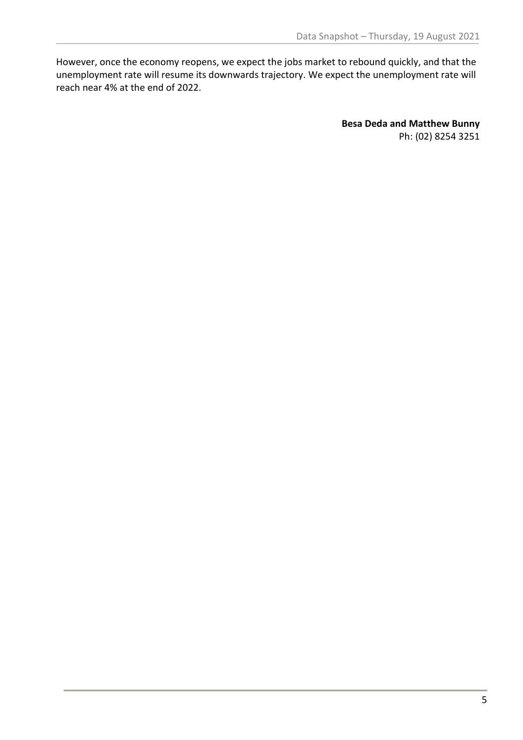However, once the economy reopens, we expect the jobs market to rebound quickly, and that the unemployment rate will resume its downwards trajectory. We expect the unemployment rate will reach near 4% at the end of 2022.

> **Besa Deda and Matthew Bunny** Ph: (02) 8254 3251